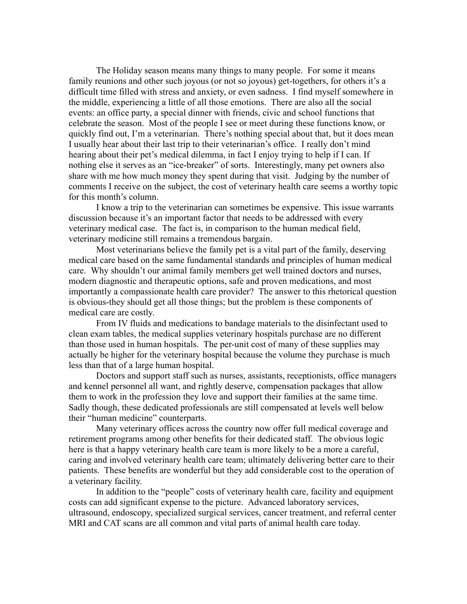The Holiday season means many things to many people. For some it means family reunions and other such joyous (or not so joyous) get-togethers, for others it's a difficult time filled with stress and anxiety, or even sadness. I find myself somewhere in the middle, experiencing a little of all those emotions. There are also all the social events: an office party, a special dinner with friends, civic and school functions that celebrate the season. Most of the people I see or meet during these functions know, or quickly find out, I'm a veterinarian. There's nothing special about that, but it does mean I usually hear about their last trip to their veterinarian's office. I really don't mind hearing about their pet's medical dilemma, in fact I enjoy trying to help if I can. If nothing else it serves as an "ice-breaker" of sorts. Interestingly, many pet owners also share with me how much money they spent during that visit. Judging by the number of comments I receive on the subject, the cost of veterinary health care seems a worthy topic for this month's column.

I know a trip to the veterinarian can sometimes be expensive. This issue warrants discussion because it's an important factor that needs to be addressed with every veterinary medical case. The fact is, in comparison to the human medical field, veterinary medicine still remains a tremendous bargain.

Most veterinarians believe the family pet is a vital part of the family, deserving medical care based on the same fundamental standards and principles of human medical care. Why shouldn't our animal family members get well trained doctors and nurses, modern diagnostic and therapeutic options, safe and proven medications, and most importantly a compassionate health care provider? The answer to this rhetorical question is obvious-they should get all those things; but the problem is these components of medical care are costly.

From IV fluids and medications to bandage materials to the disinfectant used to clean exam tables, the medical supplies veterinary hospitals purchase are no different than those used in human hospitals. The per-unit cost of many of these supplies may actually be higher for the veterinary hospital because the volume they purchase is much less than that of a large human hospital.

Doctors and support staff such as nurses, assistants, receptionists, office managers and kennel personnel all want, and rightly deserve, compensation packages that allow them to work in the profession they love and support their families at the same time. Sadly though, these dedicated professionals are still compensated at levels well below their "human medicine" counterparts.

Many veterinary offices across the country now offer full medical coverage and retirement programs among other benefits for their dedicated staff. The obvious logic here is that a happy veterinary health care team is more likely to be a more a careful, caring and involved veterinary health care team; ultimately delivering better care to their patients. These benefits are wonderful but they add considerable cost to the operation of a veterinary facility.

In addition to the "people" costs of veterinary health care, facility and equipment costs can add significant expense to the picture. Advanced laboratory services, ultrasound, endoscopy, specialized surgical services, cancer treatment, and referral center MRI and CAT scans are all common and vital parts of animal health care today.